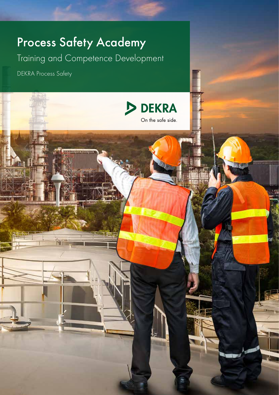# Process Safety Academy

Training and Competence Development

DEKRA Process Safety

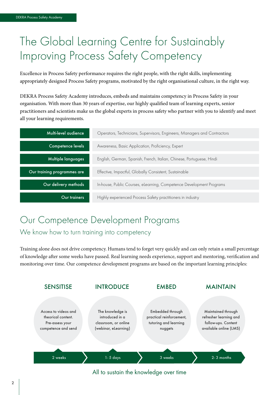# The Global Learning Centre for Sustainably Improving Process Safety Competency

Excellence in Process Safety performance requires the right people, with the right skills, implementing appropriately designed Process Safety programs, motivated by the right organisational culture, in the right way.

DEKRA Process Safety Academy introduces, embeds and maintains competency in Process Safety in your organisation. With more than 30 years of expertise, our highly qualified team of learning experts, senior practitioners and scientists make us the global experts in process safety who partner with you to identify and meet all your learning requirements.

| Multi-level audience        | Operators, Technicians, Supervisors, Engineers, Managers and Contractors |
|-----------------------------|--------------------------------------------------------------------------|
| Competence levels           | Awareness, Basic Application, Proficiency, Expert                        |
| Multiple languages          | English, German, Spanish, French, Italian, Chinese, Portuguese, Hindi    |
| Our training programmes are | Effective, Impactful, Globally Consistent, Sustainable                   |
| Our delivery methods        | In-house, Public Courses, elearning, Competence Development Programs     |
| Our trainers                | Highly experienced Process Safety practitioners in industry              |

### Our Competence Development Programs We know how to turn training into competency

Training alone does not drive competency. Humans tend to forget very quickly and can only retain a small percentage of knowledge after some weeks have passed. Real learning needs experience, support and mentoring, verification and monitoring over time. Our competence development programs are based on the important learning principles:



All to sustain the knowledge over time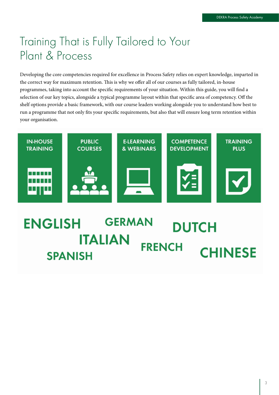# Training That is Fully Tailored to Your Plant & Process

Developing the core competencies required for excellence in Process Safety relies on expert knowledge, imparted in the correct way for maximum retention. This is why we offer all of our courses as fully tailored, in-house programmes, taking into account the specific requirements of your situation. Within this guide, you will find a selection of our key topics, alongside a typical programme layout within that specific area of competency. Off the shelf options provide a basic framework, with our course leaders working alongside you to understand how best to run a programme that not only fits your specific requirements, but also that will ensure long term retention within your organisation.

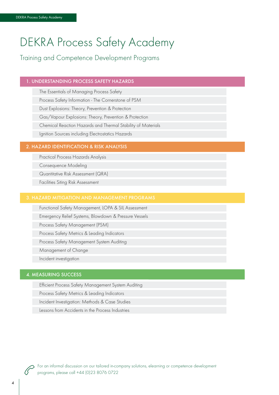# DEKRA Process Safety Academy

Training and Competence Development Programs

#### 1. UNDERSTANDING PROCESS SAFETY HAZARDS

The Essentials of Managing Process Safety Process Safety Information - The Cornerstone of PSM Dust Explosions: Theory, Prevention & Protection Gas/Vapour Explosions: Theory, Prevention & Protection Chemical Reaction Hazards and Thermal Stability of Materials Ignition Sources including Electrostatics Hazards

#### 2. HAZARD IDENTIFICATION & RISK ANALYSIS

Practical Process Hazards Analysis Consequence Modeling

Quantitative Risk Assessment (QRA)

Facilities Siting Risk Assessment

Functional Safety Management, LOPA & SIL Assessment Emergency Relief Systems, Blowdown & Pressure Vessels Process Safety Management (PSM) Process Safety Metrics & Leading Indicators Process Safety Management System Auditing Management of Change Incident investigation

### 4. MEASURING SUCCESS

Efficient Process Safety Management System Auditing

Process Safety Metrics & Leading Indicators

Incident Investigation: Methods & Case Studies

Lessons from Accidents in the Process Industries



For an informal discussion on our tailored in-company solutions, elearning or competence development programs, please call +44 (0)23 8076 0722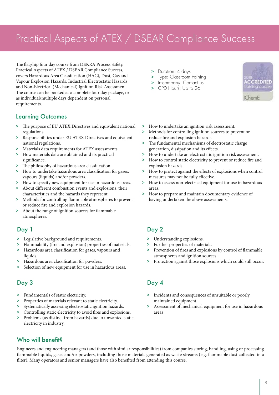# Practical Aspects of ATEX / DSEAR Compliance Success

The flagship four day course from DEKRA Process Safety, Practical Aspects of ATEX / DSEAR Compliance Success, covers Hazardous Area Classification (HAC), Dust, Gas and Vapour Explosion Hazards, Industrial Electrostatic Hazards and Non-Electrical (Mechanical) Ignition Risk Assessment. The course can be booked as a complete four day package, or as individual/multiple days dependent on personal requirements.

### Learning Outcomes

- > The purpose of EU ATEX Directives and equivalent national regulations.
- > Responsibilities under EU ATEX Directives and equivalent national regulations.
- > Materials data requirements for ATEX assessments.
- > How materials data are obtained and its practical significance.
- > The philosophy of hazardous area classification.
- > How to undertake hazardous area classification for gases, vapours (liquids) and/or powders.
- > How to specify new equipment for use in hazardous areas.
- About different combustion events and explosions, their characteristics and the hazards they represent.
- > Methods for controlling flammable atmospheres to prevent or reduce fire and explosion hazards.
- > About the range of ignition sources for flammable atmospheres.

### Day 1

- > Legislative background and requirements.
- Flammability (fire and explosion) properties of materials.
- > Hazardous area classification for gases, vapours and liquids.
- > Hazardous area classification for powders.
- Selection of new equipment for use in hazardous areas.

### Day 3

- > Fundamentals of static electricity.
- > Properties of materials relevant to static electricity.
- > Systematically assessing electrostatic ignition hazards.
- > Controlling static electricity to avoid fires and explosions.
- > Problems (as distinct from hazards) due to unwanted static electricity in industry.
- > Duration: 4 days
- > Type: Classroom training
- > In-company: Contact us
- > CPD Hours: Up to 26



**IChemE** 

- > How to undertake an ignition risk assessment.
- > Methods for controlling ignition sources to prevent or reduce fire and explosion hazards.
- > The fundamental mechanisms of electrostatic charge generation, dissipation and its effects.
- > How to undertake an electrostatic ignition risk assessment.
- > How to control static electricity to prevent or reduce fire and explosion hazards.
- > How to protect against the effects of explosions when control measures may not be fully effective.
- How to assess non-electrical equipment for use in hazardous areas.
- > How to prepare and maintain documentary evidence of having undertaken the above assessments.

### Day 2

- > Understanding explosions.
- > Further properties of materials.
- > Prevention of fires and explosions by control of flammable atmospheres and ignition sources.
- > Protection against those explosions which could still occur.

### Day 4

- > Incidents and consequences of unsuitable or poorly maintained equipment.
- > Assessment of mechanical equipment for use in hazardous areas

### Who will benefit?

Engineers and engineering managers (and those with similar responsibilities) from companies storing, handling, using or processing flammable liquids, gases and/or powders, including those materials generated as waste streams (e.g. flammable dust collected in a filter). Many operators and senior managers have also benefited from attending this course.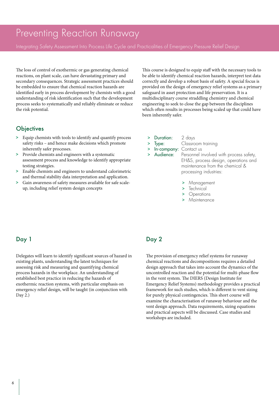### Preventing Reaction Runaway

Integrating Safety Assessment Into Process Life Cycle and Practicalities of Emergency Pressure Relief Design

The loss of control of exothermic or gas generating chemical reactions, on plant scale, can have devastating primary and secondary consequences. Strategic assessment practices should be embedded to ensure that chemical reaction hazards are identified early in process development by chemists with a good understanding of risk identification such that the development process seeks to systematically and reliably eliminate or reduce the risk potential.

### **Objectives**

- > Equip chemists with tools to identify and quantify process safety risks – and hence make decisions which promote inherently safer processes.
- > Provide chemists and engineers with a systematic assessment process and knowledge to identify appropriate testing strategies.
- > Enable chemists and engineers to understand calorimetric and thermal stability data interpretation and application.
- > Gain awareness of safety measures available for safe scaleup, including relief system design concepts

This course is designed to equip staff with the necessary tools to be able to identify chemical reaction hazards, interpret test data correctly and develop a robust basis of safety. A special focus is provided on the design of emergency relief systems as a primary safeguard in asset protection and life preservation. It is a multidisciplinary course straddling chemistry and chemical engineering to seek to close the gap between the disciplines which often results in processes being scaled up that could have been inherently safer.

- > Duration: 2 days
	- **Type:** Classroom training
- In-company: Contact us
- > Audience: Personnel involved with process safety, EH&S, process design, operations and maintenance from the chemical & processing industries:
	- > Management
	- > Technical
	- > Operations
	- > Maintenance

### Day 1

Delegates will learn to identify significant sources of hazard in existing plants, understanding the latest techniques for assessing risk and measuring and quantifying chemical process hazards in the workplace. An understanding of established best practice in reducing the hazards of exothermic reaction systems, with particular emphasis on emergency relief design, will be taught (in conjunction with Day 2.)

### Day 2

The provision of emergency relief systems for runaway chemical reactions and decompositions requires a detailed design approach that takes into account the dynamics of the uncontrolled reaction and the potential for multi-phase flow in the vent system. The DIERS (Design Institute for Emergency Relief Systems) methodology provides a practical framework for such studies, which is different to vent sizing for purely physical contingencies. This short course will examine the characterisation of runaway behaviour and the vent design approach. Data requirements, sizing equations and practical aspects will be discussed. Case studies and workshops are included.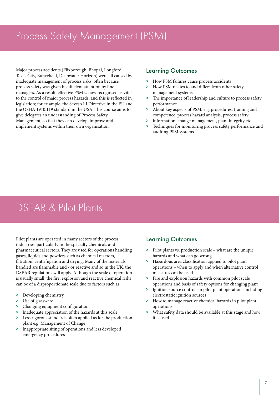# Process Safety Management (PSM)

Major process accidents (Flixborough, Bhopal, Longford, Texas City, Buncefield, Deepwater Horizon) were all caused by inadequate management of process risks, often because process safety was given insufficient attention by line managers. As a result, effective PSM is now recognised as vital to the control of major process hazards, and this is reflected in legislation; for ex ample, the Seveso I I Directive in the EU and the OSHA 1910.119 standard in the USA. This course aims to give delegates an understanding of Process Safety Management, so that they can develop, improve and implement systems within their own organisation.

### Learning Outcomes

- > How PSM failures cause process accidents
- > How PSM relates to and differs from other safety management systems
- > The importance of leadership and culture to process safety performance.
- > About key aspects of PSM; e.g. procedures, training and competence, process hazard analysis, process safety
- > information, change management, plant integrity etc.
- Techniques for monitoring process safety performance and auditing PSM systems

# DSEAR & Pilot Plants

Pilot plants are operated in many sectors of the process industries, particularly in the specialty chemicals and pharmaceutical sectors. They are used for operations handling gases, liquids and powders such as chemical reactors, filtration, centrifugation and drying. Many of the materials handled are flammable and / or reactive and so in the UK, the DSEAR regulations will apply. Although the scale of operation is usually small, the fire, explosion and reactive chemical risks can be of a disproportionate scale due to factors such as:

- > Developing chemistry
- > Use of glassware
- > Changing equipment configuration
- Inadequate appreciation of the hazards at this scale
- Less rigorous standards often applied as for the production plant e.g. Management of Change
- > Inappropriate siting of operations and less developed emergency procedures

- > Pilot plants vs. production scale what are the unique hazards and what can go wrong
- > Hazardous area classification applied to pilot plant operations – when to apply and when alternative control measures can be used
- > Fire and explosion hazards with common pilot scale operations and basis of safety options for changing plant
- > Ignition source controls in pilot plant operations including electrostatic ignition sources
- > How to manage reactive chemical hazards in pilot plant operations
- What safety data should be available at this stage and how it is used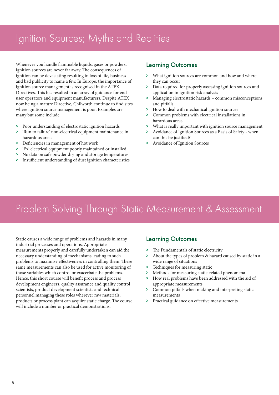## Ignition Sources; Myths and Realities

Whenever you handle flammable liquids, gases or powders, ignition sources are never far away. The consequences of ignition can be devastating resulting in loss of life, business and bad publicity to name a few. In Europe, the importance of ignition source management is recognised in the ATEX Directives. This has resulted in an array of guidance for end user operators and equipment manufacturers. Despite ATEX now being a mature Directive, Chilworth continue to find sites where ignition source management is poor. Examples are many but some include:

- > Poor understanding of electrostatic ignition hazards
- > 'Run to failure' non-electrical equipment maintenance in hazardous areas
- > Deficiencies in management of hot work
- > 'Ex' electrical equipment poorly maintained or installed
- No data on safe powder drying and storage temperatures
- > Insufficient understanding of dust ignition characteristics

### Learning Outcomes

- > What ignition sources are common and how and where they can occur
- > Data required for properly assessing ignition sources and application in ignition risk analysis
- > Managing electrostatic hazards common misconceptions and pitfalls
- > How to deal with mechanical ignition sources
- > Common problems with electrical installations in hazardous areas
- > What is really important with ignition source management
- > Avoidance of Ignition Sources as a Basis of Safety when can this be justified?
- > Avoidance of Ignition Sources

# Problem Solving Through Static Measurement & Assessment

Static causes a wide range of problems and hazards in many industrial processes and operations. Appropriate measurements properly and carefully undertaken can aid the necessary understanding of mechanisms leading to such problems to maximise effectiveness in controlling them. These same measurements can also be used for active monitoring of those variables which control or exacerbate the problems. Hence, this short course will benefit process and process development engineers, quality assurance and quality control scientists, product development scientists and technical personnel managing these roles wherever raw materials, products or process plant can acquire static charge. The course will include a number or practical demonstrations.

- > The Fundamentals of static electricity
- > About the types of problem & hazard caused by static in a wide range of situations
- > Techniques for measuring static
- Methods for measuring static-related phenomena
- > How real problems have been addressed with the aid of appropriate measurements
- > Common pitfalls when making and interpreting static measurements
- > Practical guidance on effective measurements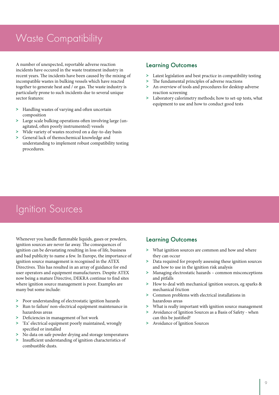## Waste Compatibility

A number of unexpected, reportable adverse reaction Learning Outcomes incidents have occured in the waste treatment industry in recent years. The incidents have been caused by the mixing of incompatible wastes in bulking vessels which have reacted together to generate heat and / or gas. The waste industry is particularly prone to such incidents due to several unique sector features:

- > Handling wastes of varying and often uncertain composition
- > Large scale bulking operations often involving large (unagitated, often poorly instrumented) vessels
- > Wide variety of wastes received on a day-to-day basis
- > General lack of themochemical knowledge and understanding to implement robust compatibility testing procedures.

- > Latest legislation and best practice in compatibility testing
- > The fundamental principles of adverse reactions
- > An overview of tools and procedures for desktop adverse reaction screening
- > Laboratory calorimetry methods; how to set-up tests, what equipment to use and how to conduct good tests

## Ignition Sources

Whenever you handle flammable liquids, gases or powders, ignition sources are never far away. The consequences of ignition can be devastating resulting in loss of life, business and bad publicity to name a few. In Europe, the importance of ignition source management is recognised in the ATEX Directives. This has resulted in an array of guidance for end user operators and equipment manufacturers. Despite ATEX now being a mature Directive, DEKRA continue to find sites where ignition source management is poor. Examples are many but some include:

- > Poor understanding of electrostatic ignition hazards
- > Run to failure' non-electrical equipment maintenance in hazardous areas
- > Deficiencies in management of hot work
- > 'Ex' electrical equipment poorly maintained, wrongly specified or installed
- > No data on safe powder drying and storage temperatures
- > Insufficient understanding of ignition characteristics of combustible dusts.

- > What ignition sources are common and how and where they can occur
- > Data required for properly assessing these ignition sources and how to use in the ignition risk analysis
- > Managing electrostatic hazards common misconceptions and pitfalls
- > How to deal with mechanical ignition sources, eg sparks & mechanical friction
- > Common problems with electrical installations in hazardous areas
- > What is really important with ignition source management
- > Avoidance of Ignition Sources as a Basis of Safety when can this be justified?
- > Avoidance of Ignition Sources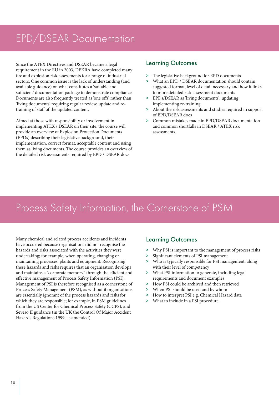# EPD/DSEAR Documentation

Since the ATEX Directives and DSEAR became a legal requirement in the EU in 2003, DEKRA have completed many fire and explosion risk assessments for a range of industrial sectors. One common issue is the lack of understanding (and available guidance) on what constitutes a 'suitable and sufficient' documentation package to demonstrate compliance. Documents are also frequently treated as 'one offs' rather than 'living documents' requiring regular review, update and retraining of staff of the updated content.

Aimed at those with responsibility or involvement in implementing ATEX / DSEAR on their site, the course will provide an overview of Explosion Protection Documents (EPDs) describing their legislative background, their implementation, correct format, acceptable content and using them as living documents. The course provides an overview of the detailed risk assessments required by EPD / DSEAR docs.

### Learning Outcomes

- > The legislative background for EPD documents<br>> What an EPD / DSEAR documentation should
- > What an EPD / DSEAR documentation should contain, suggested format, level of detail necessary and how it links to more detailed risk assessment documents
- > EPDs/DSEAR as 'living documents': updating, implementing re-training
- > About the risk assessments and studies required in support of EPD/DSEAR docs
- > Common mistakes made in EPD/DSEAR documentation and common shortfalls in DSEAR / ATEX risk assessments.

# Process Safety Information, the Cornerstone of PSM

Many chemical and related process accidents and incidents have occurred because organisations did not recognise the hazards and risks associated with the activities they were undertaking; for example, when operating, changing or maintaining processes, plants and equipment. Recognising these hazards and risks requires that an organisation develops and maintains a "corporate memory" through the efficient and effective management of Process Safety Information (PSI). Management of PSI is therefore recognised as a cornerstone of Process Safety Management (PSM), as without it organisations are essentially ignorant of the process hazards and risks for which they are responsible; for example, in PSM guidelines from the US Center for Chemical Process Safety (CCPS), and Seveso II guidance (in the UK the Control Of Major Accident Hazards Regulations 1999, as amended).

- > Why PSI is important to the management of process risks
- > Significant elements of PSI management
- > Who is typically responsible for PSI management, along with their level of competency
- > What PSI information to generate, including legal requirements and document examples
- > How PSI could be archived and then retrieved
- > When PSI should be used and by whom
- > How to interpret PSI e.g. Chemical Hazard data
- > What to include in a PSI procedure.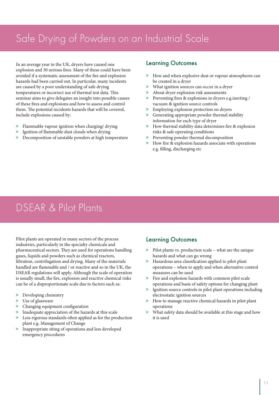# Safe Drying of Powders on an Industrial Scale

In an average year in the UK, dryers have caused one explosion and 30 serious fires. Many of these could have been avoided if a systematic assessment of the fire and explosion hazards had been carried out. In particular, many incidents are caused by a poor understanding of safe drying temperatures or incorrect use of thermal test data. This seminar aims to give delegates an insight into possible causes of these fires and explosions and how to assess and control them. The potential incidents hazards that will be covered, include explosions caused by:

- > Flammable vapour ignition when charging/ drying
- > Ignition of flammable dust clouds when drying
- > Decomposition of unstable powders at high temperature

### Learning Outcomes

- > How and when explosive dust or vapour atmospheres can be created in a dryer
- > What ignition sources can occur in a dryer
- > About dryer explosion risk assessments
- > Preventing fires & explosions in dryers e.g.inerting / vacuum & ignition source controls
- > Employing explosion protection on dryers
- > Generating appropriate powder thermal stability information for each type of dryer
- > How thermal stability data determines fire & explosion risks & safe operating conditions
- > Preventing powder thermal decomposition
- > How fire & explosion hazards associate with operations e.g. filling, discharging etc

# DSEAR & Pilot Plants

Pilot plants are operated in many sectors of the process industries, particularly in the specialty chemicals and pharmaceutical sectors. They are used for operations handling gases, liquids and powders such as chemical reactors, filtration, centrifugation and drying. Many of the materials handled are flammable and / or reactive and so in the UK, the DSEAR regulations will apply. Although the scale of operation is usually small, the fire, explosion and reactive chemical risks can be of a disproportionate scale due to factors such as:

- > Developing chemistry
- > Use of glassware
- > Changing equipment configuration
- Inadequate appreciation of the hazards at this scale
- > Less rigorous standards often applied as for the production plant e.g. Management of Change
- > Inappropriate siting of operations and less developed emergency procedures

- > Pilot plants vs. production scale what are the unique hazards and what can go wrong
- > Hazardous area classification applied to pilot plant operations – when to apply and when alternative control measures can be used
- > Fire and explosion hazards with common pilot scale operations and basis of safety options for changing plant
- > Ignition source controls in pilot plant operations including electrostatic ignition sources
- > How to manage reactive chemical hazards in pilot plant operations
- What safety data should be available at this stage and how it is used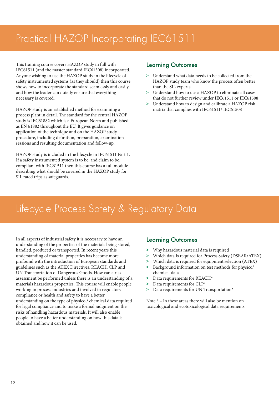# Practical HAZOP Incorporating IEC61511

This training course covers HAZOP study in full with IEC61511 (and the master standard IEC61508) incorporated. Anyone wishing to use the HAZOP study in the lifecycle of safety instrumented systems (as they should) then this course shows how to incorporate the standard seamlessly and easily and how the leader can quietly ensure that everything necessary is covered.

HAZOP study is an established method for examining a process plant in detail. The standard for the central HAZOP study is IEC61882 which is a European Norm and published as EN 61882 throughout the EU. It gives guidance on application of the technique and on the HAZOP study procedure, including definition, preparation, examination sessions and resulting documentation and follow-up.

HAZOP study is included in the lifecycle in IEC61511 Part 1. If a safety instrumented system is to be, and claim to be, compliant with IEC61511 then this course has a full module describing what should be covered in the HAZOP study for SIL rated trips as safeguards.

### Learning Outcomes

- > Understand what data needs to be collected from the HAZOP study team who know the process often better than the SIL experts.
- > Understand how to use a HAZOP to eliminate all cases that do not further review under IEC61511 or IEC61508
- > Understand how to design and calibrate a HAZOP risk matrix that complies with IEC61511/ IEC61508

# Lifecycle Process Safety & Regulatory Data

In all aspects of industrial safety it is necessary to have an understanding of the properties of the materials being stored, handled, produced or transported. In recent years this understanding of material properties has become more profound with the introduction of European standards and guidelines such as the ATEX Directives, REACH, CLP and UN Transportation of Dangerous Goods. How can a risk assessment be performed unless there is an understanding of a materials hazardous properties. This course will enable people working in process industries and involved in regulatory compliance or health and safety to have a better understanding on the type of physico / chemical data required for legal compliance and to make a formal judgment on the risks of handling hazardous materials. It will also enable people to have a better understanding on how this data is obtained and how it can be used.

### Learning Outcomes

- > Why hazardous material data is required
- > Which data is required for Process Safety (DSEAR/ATEX)
- > Which data is required for equipment selection (ATEX)
- Background information on test methods for physico/ chemical data
- > Data requirements for REACH\*
- > Data requirements for CLP\*
- > Data requirements for UN Transportation\*

Note \* – In these areas there will also be mention on toxicological and ecotoxicological data requirements.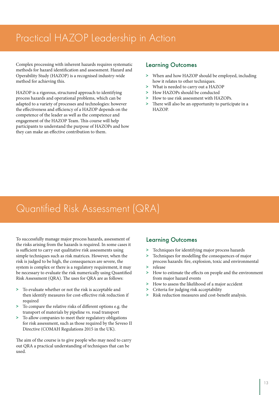# Practical HAZOP Leadership in Action

Complex processing with inherent hazards requires systematic methods for hazard identification and assessment. Hazard and Operability Study (HAZOP) is a recognised industry-wide method for achieving this.

HAZOP is a rigorous, structured approach to identifying process hazards and operational problems, which can be adapted to a variety of processes and technologies: however the effectiveness and efficiency of a HAZOP depends on the competence of the leader as well as the competence and engagement of the HAZOP Team. This course will help participants to understand the purpose of HAZOPs and how they can make an effective contribution to them.

### Learning Outcomes

- > When and how HAZOP should be employed, including how it relates to other techniques.
- > What is needed to carry out a HAZOP
- > How HAZOPs should be conducted
- > How to use risk assessment with HAZOPs.
- > There will also be an opportunity to participate in a HAZOP.

## Quantified Risk Assessment (QRA)

To successfully manage major process hazards, assessment of the risks arising from the hazards is required. In some cases it is sufficient to carry out qualitative risk assessments using simple techniques such as risk matrices. However, when the risk is judged to be high, the consequences are severe, the system is complex or there is a regulatory requirement, it may be necessary to evaluate the risk numerically using Quantified Risk Assessment (QRA). The uses for QRA are as follows:

- > To evaluate whether or not the risk is acceptable and then identify measures for cost-effective risk reduction if required
- > To compare the relative risks of different options e.g. the transport of materials by pipeline vs. road transport
- > To allow companies to meet their regulatory obligations for risk assessment, such as those required by the Seveso II Directive (COMAH Regulations 2015 in the UK).

The aim of the course is to give people who may need to carry out QRA a practical understanding of techniques that can be used.

- > Techniques for identifying major process hazards
- > Techniques for modelling the consequences of major process hazards: fire, explosion, toxic and environmental
- > release
- How to estimate the effects on people and the environment from major hazard events
- > How to assess the likelihood of a major accident
- > Criteria for judging risk acceptability
- > Risk reduction measures and cost-benefit analysis.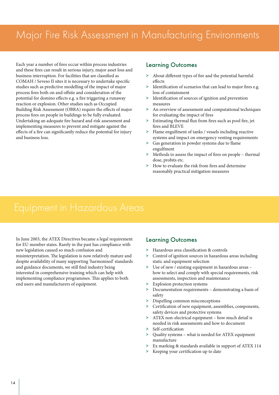## Major Fire Risk Assessment in Manufacturing Environments

Each year a number of fires occur within process industries and these fires can result in serious injury, major asset loss and business interruption. For facilities that are classified as COMAH / Seveso II sites it is necessary to undertake specific studies such as predictive modelling of the impact of major process fires both on and offsite and consideration of the potential for domino effects e.g. a fire triggering a runaway reaction or explosion. Other studies such as Occupied Building Risk Assessment (OBRA) require the effects of major process fires on people in buildings to be fully evaluated. Undertaking an adequate fire hazard and risk assessment and implementing measures to prevent and mitigate against the effects of a fire can significantly reduce the potential for injury and business loss.

### Learning Outcomes

- > About different types of fire and the potential harmful effects
- > Identification of scenarios that can lead to major fires e.g. loss of containment
- > Identification of sources of ignition and prevention measures
- > An overview of assessment and computational techniques for evaluating the impact of fires
- > Estimating thermal flux from fires such as pool fire, jet fires and BLEVE
- > Flame engulfment of tanks / vessels including reactive systems and impact on emergency venting requirements
- > Gas generation in powder systems due to flame engulfment
- > Methods to assess the impact of fires on people thermal dose, probits etc.
- > How to evaluate the risk from fires and determine reasonably practical mitigation measures

In June 2003, the ATEX Directives became a legal requirement **Learning Outcomes** for EU member states. Rarely in the past has compliance with new legislation caused so much confusion and misinterpretation. The legislation is now relatively mature and despite availability of many supporting 'harmonised' standards and guidance documents, we still find industry being interested in comprehensive training which can help with implementing compliance programmes. This applies to both end users and manufacturers of equipment.

- > Hazardous area classification & controls
- > Control of ignition sources in hazardous areas including static and equipment selection
- > Use of new / existing equipment in hazardous areas how to select and comply with special requirements, risk assessments, inspection and maintenance
- Explosion protection systems
- > Documentation requirements demonstrating a basis of safety
- > Dispelling common misconceptions
- > Certification of new equipment, assemblies, components, safety devices and protective systems
- > ATEX non-electrical equipment how much detail is needed in risk assessments and how to document
- Self-certification
- > Quality systems what is needed for ATEX equipment manufacture
- > Ex marking & standards available in support of ATEX 114
- > Keeping your certification up to date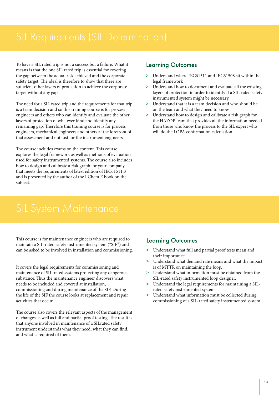To have a SIL rated trip is not a success but a failure. What it means is that the one SIL rated trip is essential for covering the gap between the actual risk achieved and the corporate safety target. The ideal is therefore to show that there are sufficient other layers of protection to achieve the corporate target without any gap

The need for a SIL rated trip and the requirements for that trip is a team decision and so this training course is for process engineers and others who can identify and evaluate the other layers of protection of whatever kind and identify any remaining gap. Therefore this training course is for process engineers, mechanical engineers and others at the forefront of that assessment and not just for the instrument engineers.

The course includes exams on the content. This course explores the legal framework as well as methods of evaluation used for safety instrumented systems. The course also includes how to design and calibrate a risk graph for your company that meets the requirements of latest edition of IEC61511:3 and is presented by the author of the I.Chem.E book on the subject.

### Learning Outcomes

- > Understand where IEC61511 and IEC61508 sit within the legal framework
- > Understand how to document and evaluate all the existing layers of protection in order to identify if a SIL-rated safety instrumented system might be necessary.
- > Understand that it is a team decision and who should be on the team and what they need to know.
- > Understand how to design and calibrate a risk graph for the HAZOP team that provides all the information needed from those who know the process to the SIL expert who will do the LOPA confirmation calculation.

This course is for maintenance engineers who are required to maintain a SIL-rated safety instrumented system ("SIF") and can be asked to be involved in installation and commissioning.

It covers the legal requirements for commissioning and maintenance of SIL-rated systems protecting any dangerous substance. Thus the maintenance engineer discovers what needs to be included and covered at installation, commissioning and during maintenance of the SIF. During the life of the SIF the course looks at replacement and repair activities that occur.

The course also covers the relevant aspects of the management of changes as well as full and partial proof testing. The result is that anyone involved in maintenance of a SILrated safety instrument understands what they need, what they can find, and what is required of them.

- > Understand what full and partial proof tests mean and their importance.
- > Understand what demand rate means and what the impact is of MTTR on maintaining the loop.
- Understand what information must be obtained from the SIL-rated safety instrumented loop designer.
- > Understand the legal requirements for maintaining a SILrated safety instrumented system.
- > Understand what information must be collected during commissioning of a SIL-rated safety instrumented system.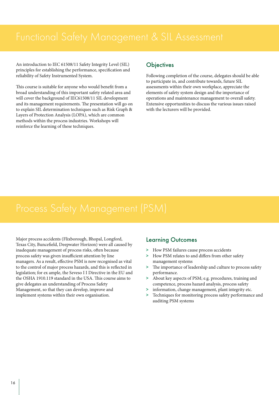An introduction to IEC 61508/11 Safety Integrity Level (SIL) principles for establishing the performance, specification and reliability of Safety Instrumented System.

This course is suitable for anyone who would benefit from a broad understanding of this important safety related area and will cover the background of IEC61508/11 SIL development and its management requirements. The presentation will go on to explain SIL determination techniques such as Risk Graph & Layers of Protection Analysis (LOPA), which are common methods within the process industries. Workshops will reinforce the learning of these techniques.

### **Objectives**

Following completion of the course, delegates should be able to participate in, and contribute towards, future SIL assessments within their own workplace, appreciate the elements of safety system design and the importance of operations and maintenance management to overall safety. Extensive opportunities to discuss the various issues raised with the lecturers will be provided.

Major process accidents (Flixborough, Bhopal, Longford, Texas City, Buncefield, Deepwater Horizon) were all caused by inadequate management of process risks, often because process safety was given insufficient attention by line managers. As a result, effective PSM is now recognised as vital to the control of major process hazards, and this is reflected in legislation; for ex ample, the Seveso I I Directive in the EU and the OSHA 1910.119 standard in the USA. This course aims to give delegates an understanding of Process Safety Management, so that they can develop, improve and implement systems within their own organisation.

- > How PSM failures cause process accidents
- > How PSM relates to and differs from other safety management systems
- > The importance of leadership and culture to process safety performance.
- > About key aspects of PSM; e.g. procedures, training and competence, process hazard analysis, process safety
- > information, change management, plant integrity etc.
- > Techniques for monitoring process safety performance and auditing PSM systems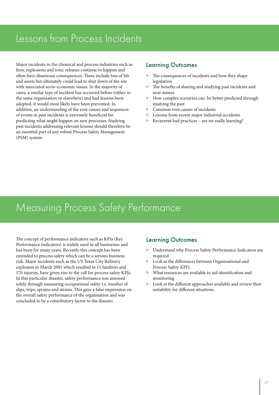# Lessons from Process Incidents

Major incidents in the chemical and process industries such as **Learning Outcomes** fires, explosions and toxic releases continue to happen and often have disastrous consequences. These include loss of life and assets but ultimately could lead to shut down of the site with associated socio-economic issues. In the majority of cases, a similar type of incident has occurred before (either in the same organisation or elsewhere) and had lessons been adopted, it would most likely have been prevented. In addition, an understanding of the root causes and sequences of events in past incidents is extremely beneficial for predicting what might happen on new processes. Studying past incidents addressing relevant lessons should therefore be an essential part of any robust Process Safety Management (PSM) system.

- > The consequences of incidents and how they shape legislation
- > The benefits of sharing and studying past incidents and near misses
- > How complex scenarios can be better predicted through studying the past
- > Common root causes of incidents
- Lessons from recent major industrial accidents
- > Recurrent bad practices are we really learning?

## Measuring Process Safety Performance

The concept of performance indicators such as KPIs (Key Performance Indicators) is widely used in all businesses and has been for many years. Recently this concept has been extended to process safety which can be a serious business risk. Major incidents such as the US Texas City Refinery explosion in March 2005 which resulted in 15 fatalities and 170 injuries, have given rise to the call for process safety KPIs. In this particular disaster, safety performance was assessed solely through measuring occupational safety i.e. number of slips, trips, sprains and strains. This gave a false impression on the overall safety performance of the organisation and was concluded to be a contributory factor to the disaster.

- > Understand why Process Safety Performance Indicators are required
- > Look at the differences between Organisational and Process Safety KPI's
- > What resources are available to aid identification and monitoring
- > Look at the different approaches available and review their suitability for different situations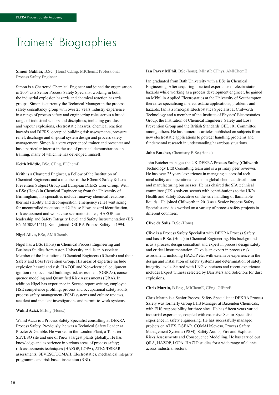# Trainers' Biographies

**Simon Gakhar,** B.Sc. (Hons) C.Eng. MIChemE Professional Process Safety Engineer

Simon is a Chartered Chemical Engineer and joined the organisation in 2004 as a Senior Process Safety Specialist working in both the industrial explosion hazards and chemical reaction hazards groups. Simon is currently the Technical Manager in the process safety consultancy group with over 25 years industry experience in a range of process safety and engineering roles across a broad range of industrial sectors and disciplines, including gas, dust and vapour explosions, electrostatic hazards, chemical reaction hazards and DIERS, occupied building risk assessments, pressure relief, discharge and disposal system design and process safety management. Simon is a very experienced trainer and presenter and has a particular interest in the use of practical demonstrations in training, many of which he has developed himself.

#### **Keith Middle,** BSc, CEng, FIChemE

Keith is a Chartered Engineer, a Fellow of the Institution of Chemical Engineers and a member of the IChemE Safety & Loss Prevention Subject Group and European DIERS User Group. With a BSc (Hons) in Chemical Engineering from the University of Birmingham, his specialties include runaway chemical reactions, thermal stability and decomposition, emergency relief vent sizing for uncontrolled reactions and 2-Phase Flow, hazard identification, risk assessment and worst case sce-nario studies, HAZOP team leadership and Safety Integrity Level and Safety Instrumentation (BS EN 61508/61511). Keith joined DEKRA Process Safety in 1994.

#### **Nigel Allen,** BSc, AMIChemE

Nigel has a BSc (Hons) in Chemical Process Engineering and Business Studies from Aston University and is an Associate Member of the Institution of Chemical Engineers (IChemE) and their Safety and Loss Prevention Group. His areas of expertise include explosion hazard and risk, HAZOP and Non-electrical equipment ignition risk, occupied buildings risk assessment (OBRAs), consequence modeling and Quantified Risk Assessments (QRA). In addition Nigel has experience in Seveso report writing, employee HSE competence profiling, process and occupational safety audits, process safety management (PSM) systems and culture reviews, accident and incident investigations and permit-to-work systems.

#### **Wahid Azizi,** M.Eng.(Hons.)

Wahid Azizi is a Process Safety Specialist consulting at DEKRA Process Safety. Previously, he was a Technical Safety Leader at Procter & Gamble. He worked in the London Plant; a Top Tier SEVESO site and one of P&G's largest plants globally. He has knowledge and experience in various areas of process safety; risk assessments techniques (HAZOP, LOPA), ATEX/DSEAR assessments, SEVESO/COMAH, Electrostatics, mechanical integrity programme and risk based inspection (RBI).

#### **Ian Pavey MPhil,** BSc (hons), MInstP, CPhys, AMIChemE

Ian graduated from Bath University with a BSc in Chemical Engineering. After acquiring practical experience of electrostatic hazards while working as a process development engineer, he gained an MPhil in Applied Electrostatics at the University of Southampton, thereafter specialising in electrostatic applications, problems and hazards. Ian is a Principal Electrostatics Specialist at Chilworth Technology and a member of the Institute of Physics' Electrostatics Group, the Institution of Chemical Engineers' Safety and Loss Prevention Group and the British Standards GEL 101 Committee among others. He has numerous articles published on subjects from new electrostatic applications to powder handling problems and fundamental research in understanding hazardous situations.

#### **John Butcher,** Chemistry B.Sc.(Hons.)

John Butcher manages the UK DEKRA Process Safety (Chilworth Technology Ltd) Consulting team and is a primary peer reviewer. He has over 25 years' experience in managing successful technical safety and operational teams in global chemical distribution and manufacturing businesses. He has chaired the SIA technical committee (UK's solvent sector) with contri-butions to the UK's Health and Safety Executive on the safe handling of flammable liquids. He joined Chilworth in 2013 as a Senior Process Safety Specialist and has worked on a variety of process safety projects in different countries.

#### **Clive de Salis,** B.Sc (Hons)

Clive is a Process Safety Specialist with DEKRA Process Safety, and has a B.Sc. (Hons) in Chemical Engineering. His background is as a process design consultant and expert in process design safety and critical instrumentation. Clive is an expert in process risk assessment, including HAZOP etc, with extensive experience in the design and installation of safety systems and determination of safety integrity levels. Started with LNG vaporisers and recent experience includes Expert witness selected by Barristers and Solicitors for dust explosions.

#### **Chris Martin,** B.Eng., MIChemE, CEng, GIFireE

Chris Martin is a Senior Process Safety Specialist at DEKRA Process Safety was formerly Group EHS Manager at Baxenden Chemicals, with EHS responsibility for three sites. He has fifteen years varied industrial experience, coupled with extensive Senior Specialist experience in safety engineering. He has successfully managed projects on ATEX, DSEAR, COMAH/Seveso, Process Safety Management Systems (PSM), Safety Audits, Fire and Explosion Risks Assessments and Consequence Modelling. He has carried out QRA, HAZOP, LOPA, HAZID studies for a wide range of clients across industrial sectors.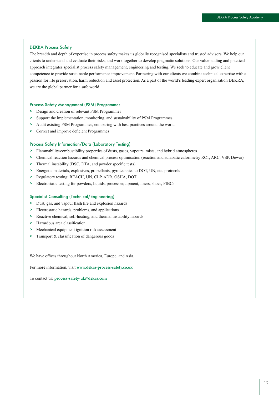#### DEKRA Process Safety

The breadth and depth of expertise in process safety makes us globally recognised specialists and trusted advisors. We help our clients to understand and evaluate their risks, and work together to develop pragmatic solutions. Our value-adding and practical approach integrates specialist process safety management, engineering and testing. We seek to educate and grow client competence to provide sustainable performance improvement. Partnering with our clients we combine technical expertise with a passion for life preservation, harm reduction and asset protection. As a part of the world's leading expert organisation DEKRA, we are the global partner for a safe world.

#### Process Safety Management (PSM) Programmes

- > Design and creation of relevant PSM Programmes
- > Support the implementation, monitoring, and sustainability of PSM Programmes
- > Audit existing PSM Programmes, comparing with best practices around the world
- > Correct and improve deficient Programmes

#### Process Safety Information/Data (Laboratory Testing)

- > Flammability/combustibility properties of dusts, gases, vapours, mists, and hybrid atmospheres
- > Chemical reaction hazards and chemical process optimisation (reaction and adiabatic calorimetry RC1, ARC, VSP, Dewar)
- > Thermal instability (DSC, DTA, and powder specific tests)
- > Energetic materials, explosives, propellants, pyrotechnics to DOT, UN, etc. protocols
- > Regulatory testing: REACH, UN, CLP, ADR, OSHA, DOT
- > Electrostatic testing for powders, liquids, process equipment, liners, shoes, FIBCs

#### Specialist Consulting (Technical/Engineering)

- > Dust, gas, and vapour flash fire and explosion hazards
- > Electrostatic hazards, problems, and applications
- > Reactive chemical, self-heating, and thermal instability hazards
- > Hazardous area classification
- > Mechanical equipment ignition risk assessment
- > Transport & classification of dangerous goods

We have offices throughout North America, Europe, and Asia.

For more information, visit **www.dekra-process-safety.co.uk**

To contact us: **process-safety-uk@dekra.com**